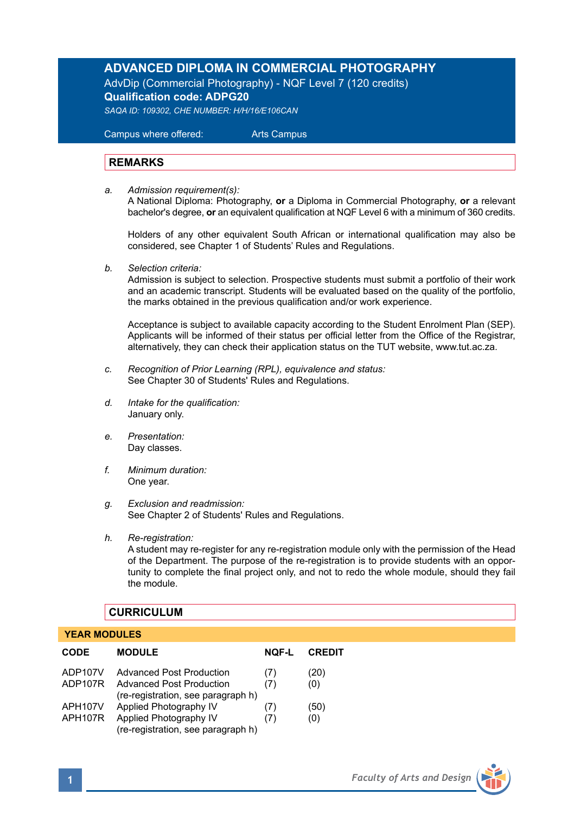# **ADVANCED DIPLOMA IN COMMERCIAL PHOTOGRAPHY**

AdvDip (Commercial Photography) - NQF Level 7 (120 credits) **Qualification code: ADPG20** 

*SAQA ID: 109302, CHE NUMBER: H/H/16/E106CAN* 

 Campus where offered: Arts Campus

# **REMARKS**

*a. Admission requirement(s):* 

A National Diploma: Photography, **or** a Diploma in Commercial Photography, **or** a relevant bachelor's degree, **or** an equivalent qualification at NQF Level 6 with a minimum of 360 credits.

Holders of any other equivalent South African or international qualification may also be considered, see Chapter 1 of Students' Rules and Regulations.

*b. Selection criteria:*

Admission is subject to selection. Prospective students must submit a portfolio of their work and an academic transcript. Students will be evaluated based on the quality of the portfolio, the marks obtained in the previous qualification and/or work experience.

Acceptance is subject to available capacity according to the Student Enrolment Plan (SEP). Applicants will be informed of their status per official letter from the Office of the Registrar, alternatively, they can check their application status on the TUT website, www.tut.ac.za.

- *c. Recognition of Prior Learning (RPL), equivalence and status:* See Chapter 30 of Students' Rules and Regulations.
- *d. Intake for the qualification:* January only.
- *e. Presentation:* Day classes.
- *f. Minimum duration:* One year.
- *g. Exclusion and readmission:* See Chapter 2 of Students' Rules and Regulations.

### *h. Re-registration:*

A student may re-register for any re-registration module only with the permission of the Head of the Department. The purpose of the re-registration is to provide students with an opportunity to complete the final project only, and not to redo the whole module, should they fail the module.

# **CURRICULUM**

### **YEAR MODULES**

| <b>MODULE</b>                                                | NOF-L | <b>CREDIT</b> |
|--------------------------------------------------------------|-------|---------------|
| <b>Advanced Post Production</b>                              | (7)   | (20)          |
| <b>Advanced Post Production</b>                              | (7)   | (0)           |
| (re-registration, see paragraph h)                           |       |               |
| Applied Photography IV                                       | (7)   | (50)          |
| Applied Photography IV<br>(re-registration, see paragraph h) | (7)   | (0)           |
|                                                              |       |               |

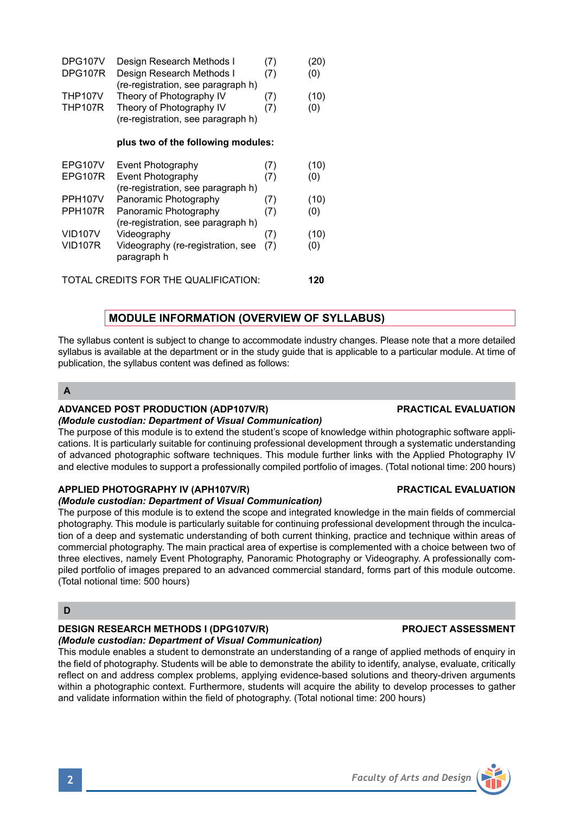| <b>THP107R</b>                     | Theory of Photography IV<br>(re-registration, see paragraph h) | (7) | (0)  |
|------------------------------------|----------------------------------------------------------------|-----|------|
| plus two of the following modules: |                                                                |     |      |
| EPG107V                            | Event Photography                                              | (7) | (10) |
| EPG107R                            | Event Photography                                              | (7) | (0)  |
|                                    | (re-registration, see paragraph h)                             |     |      |
| <b>PPH107V</b>                     | Panoramic Photography                                          | (7) | (10) |
| <b>PPH107R</b>                     | Panoramic Photography                                          | (7) | (0)  |
|                                    | (re-registration, see paragraph h)                             |     |      |
| <b>VID107V</b>                     | Videography                                                    | (7) | (10) |
| <b>VID107R</b>                     | Videography (re-registration, see<br>paragraph h               | (7) | (0)  |
|                                    | TOTAL CREDITS FOR THE QUALIFICATION:                           |     | 120  |

DPG107V Design Research Methods I (7) (20) DPG107R Design Research Methods | (7) (0) (re-registration, see paragraph h) THP107V Theory of Photography IV (7) (10)

# **MODULE INFORMATION (OVERVIEW OF SYLLABUS)**

The syllabus content is subject to change to accommodate industry changes. Please note that a more detailed syllabus is available at the department or in the study guide that is applicable to a particular module. At time of publication, the syllabus content was defined as follows:

# **A**

# **ADVANCED POST PRODUCTION (ADP107V/R) PRACTICAL EVALUATION**

### *(Module custodian: Department of Visual Communication)*

The purpose of this module is to extend the student's scope of knowledge within photographic software applications. It is particularly suitable for continuing professional development through a systematic understanding of advanced photographic software techniques. This module further links with the Applied Photography IV and elective modules to support a professionally compiled portfolio of images. (Total notional time: 200 hours)

### **APPLIED PHOTOGRAPHY IV (APH107V/R) PRACTICAL EVALUATION**

### *(Module custodian: Department of Visual Communication)*

The purpose of this module is to extend the scope and integrated knowledge in the main fields of commercial photography. This module is particularly suitable for continuing professional development through the inculcation of a deep and systematic understanding of both current thinking, practice and technique within areas of commercial photography. The main practical area of expertise is complemented with a choice between two of three electives, namely Event Photography, Panoramic Photography or Videography. A professionally compiled portfolio of images prepared to an advanced commercial standard, forms part of this module outcome. (Total notional time: 500 hours)

## **D**

### **DESIGN RESEARCH METHODS I (DPG107V/R) PROJECT ASSESSMENT** *(Module custodian: Department of Visual Communication)*

This module enables a student to demonstrate an understanding of a range of applied methods of enquiry in the field of photography. Students will be able to demonstrate the ability to identify, analyse, evaluate, critically reflect on and address complex problems, applying evidence-based solutions and theory-driven arguments within a photographic context. Furthermore, students will acquire the ability to develop processes to gather and validate information within the field of photography. (Total notional time: 200 hours)